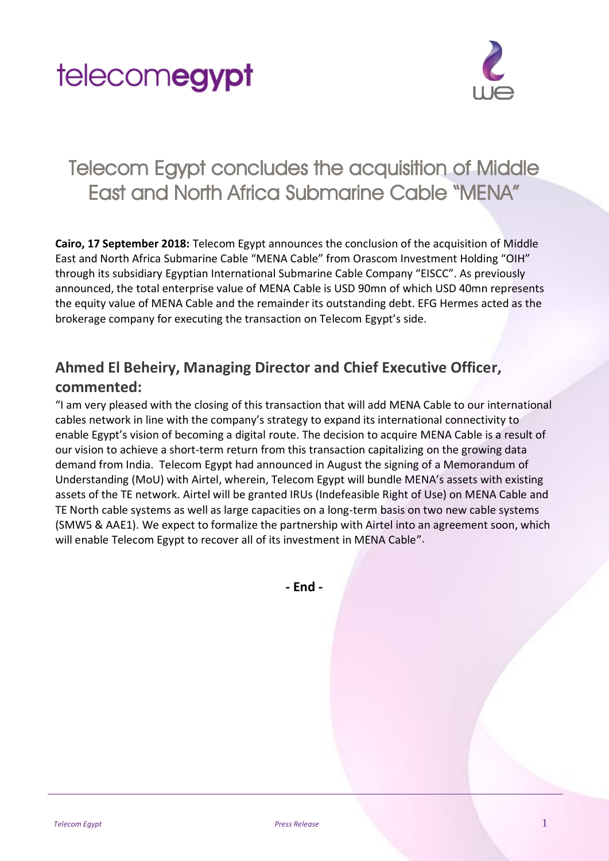



## Telecom Egypt concludes the acquisition of Middle East and North Africa Submarine Cable "MENA"

**Cairo, 17 September 2018:** Telecom Egypt announces the conclusion of the acquisition of Middle East and North Africa Submarine Cable "MENA Cable" from Orascom Investment Holding "OIH" through its subsidiary Egyptian International Submarine Cable Company "EISCC". As previously announced, the total enterprise value of MENA Cable is USD 90mn of which USD 40mn represents the equity value of MENA Cable and the remainder its outstanding debt. EFG Hermes acted as the brokerage company for executing the transaction on Telecom Egypt's side.

## **Ahmed El Beheiry, Managing Director and Chief Executive Officer, commented:**

"I am very pleased with the closing of this transaction that will add MENA Cable to our international cables network in line with the company's strategy to expand its international connectivity to enable Egypt's vision of becoming a digital route. The decision to acquire MENA Cable is a result of our vision to achieve a short-term return from this transaction capitalizing on the growing data demand from India. Telecom Egypt had announced in August the signing of a Memorandum of Understanding (MoU) with Airtel, wherein, Telecom Egypt will bundle MENA's assets with existing assets of the TE network. Airtel will be granted IRUs (Indefeasible Right of Use) on MENA Cable and TE North cable systems as well as large capacities on a long-term basis on two new cable systems (SMW5 & AAE1). We expect to formalize the partnership with Airtel into an agreement soon, which will enable Telecom Egypt to recover all of its investment in MENA Cable".

**- End -**